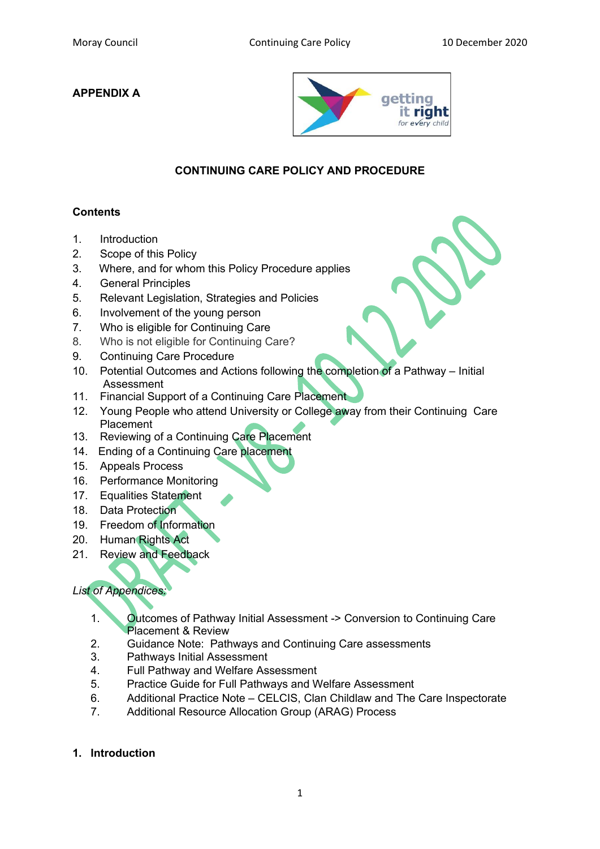## **APPENDIX A**



# **CONTINUING CARE POLICY AND PROCEDURE**

## **Contents**

- 1. Introduction
- 2. Scope of this Policy
- 3. Where, and for whom this Policy Procedure applies
- 4. General Principles
- 5. Relevant Legislation, Strategies and Policies
- 6. Involvement of the young person
- 7. Who is eligible for Continuing Care
- 8. Who is not eligible for Continuing Care?
- 9. Continuing Care Procedure
- 10. Potential Outcomes and Actions following the completion of a Pathway Initial Assessment
- 11. Financial Support of a Continuing Care Placement
- 12. Young People who attend University or College away from their Continuing Care Placement
- 13. Reviewing of a Continuing Care Placement
- 14. Ending of a Continuing Care placement
- 15. Appeals Process
- 16. Performance Monitoring
- 17. Equalities Statement
- 18. Data Protection
- 19. Freedom of Information
- 20. Human Rights Act
- 21. Review and Feedback

## *List of Appendices:*

- 1. Outcomes of Pathway Initial Assessment -> Conversion to Continuing Care Placement & Review
- 2. Guidance Note: Pathways and Continuing Care assessments
- 3. Pathways Initial Assessment
- 4. Full Pathway and Welfare Assessment
- 5. Practice Guide for Full Pathways and Welfare Assessment
- 6. Additional Practice Note CELCIS, Clan Childlaw and The Care Inspectorate
- 7. Additional Resource Allocation Group (ARAG) Process

### **1. Introduction**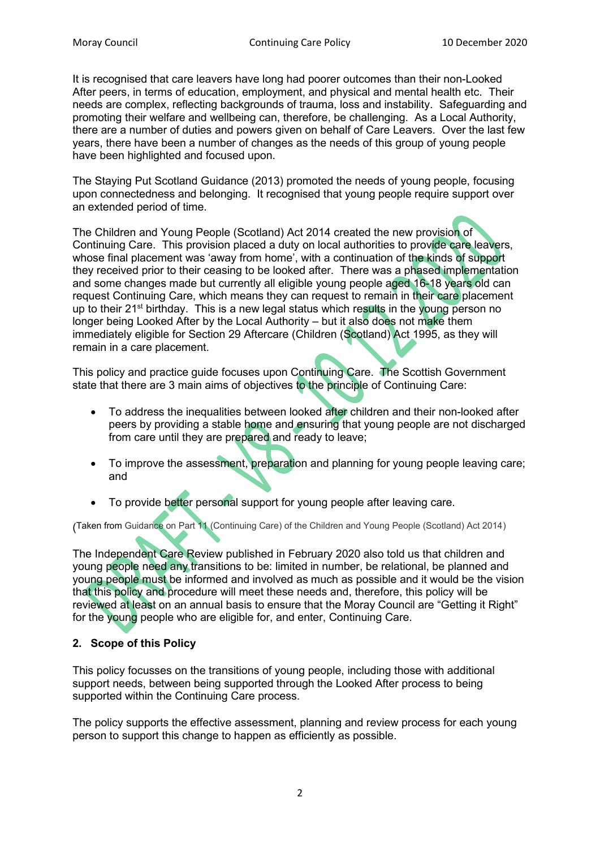It is recognised that care leavers have long had poorer outcomes than their non-Looked After peers, in terms of education, employment, and physical and mental health etc. Their needs are complex, reflecting backgrounds of trauma, loss and instability. Safeguarding and promoting their welfare and wellbeing can, therefore, be challenging. As a Local Authority, there are a number of duties and powers given on behalf of Care Leavers. Over the last few years, there have been a number of changes as the needs of this group of young people have been highlighted and focused upon.

The Staying Put Scotland Guidance (2013) promoted the needs of young people, focusing upon connectedness and belonging. It recognised that young people require support over an extended period of time.

The Children and Young People (Scotland) Act 2014 created the new provision of Continuing Care. This provision placed a duty on local authorities to provide care leavers, whose final placement was 'away from home', with a continuation of the kinds of support they received prior to their ceasing to be looked after. There was a phased implementation and some changes made but currently all eligible young people aged 16-18 years old can request Continuing Care, which means they can request to remain in their care placement up to their 21<sup>st</sup> birthday. This is a new legal status which results in the young person no longer being Looked After by the Local Authority – but it also does not make them immediately eligible for Section 29 Aftercare (Children (Scotland) Act 1995, as they will remain in a care placement.

This policy and practice guide focuses upon Continuing Care. The Scottish Government state that there are 3 main aims of objectives to the principle of Continuing Care:

- To address the inequalities between looked after children and their non-looked after peers by providing a stable home and ensuring that young people are not discharged from care until they are prepared and ready to leave;
- To improve the assessment, preparation and planning for young people leaving care; and
- To provide better personal support for young people after leaving care.

(Taken from Guidance on Part 11 (Continuing Care) of the Children and Young People (Scotland) Act 2014)

The Independent Care Review published in February 2020 also told us that children and young people need any transitions to be: limited in number, be relational, be planned and young people must be informed and involved as much as possible and it would be the vision that this policy and procedure will meet these needs and, therefore, this policy will be reviewed at least on an annual basis to ensure that the Moray Council are "Getting it Right" for the young people who are eligible for, and enter, Continuing Care.

## **2. Scope of this Policy**

This policy focusses on the transitions of young people, including those with additional support needs, between being supported through the Looked After process to being supported within the Continuing Care process.

The policy supports the effective assessment, planning and review process for each young person to support this change to happen as efficiently as possible.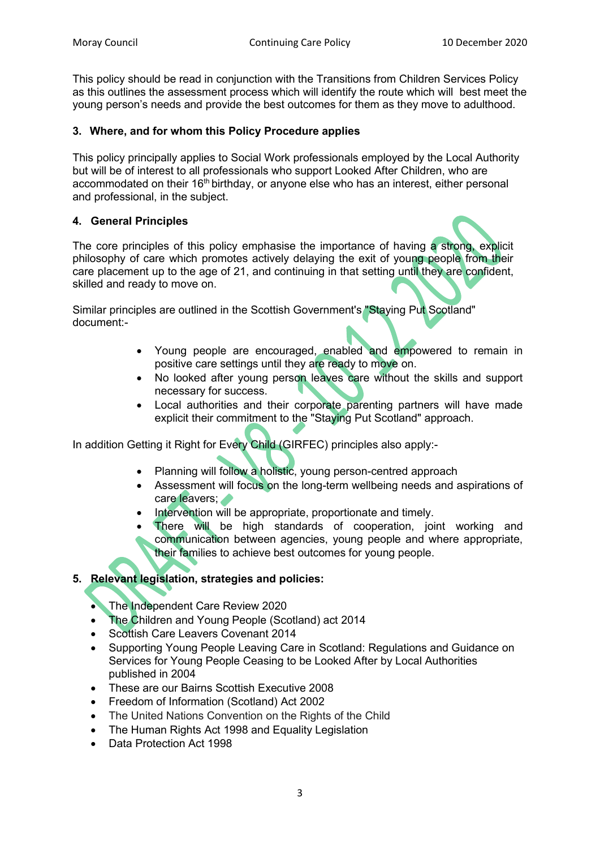This policy should be read in conjunction with the Transitions from Children Services Policy as this outlines the assessment process which will identify the route which will best meet the young person's needs and provide the best outcomes for them as they move to adulthood.

### **3. Where, and for whom this Policy Procedure applies**

This policy principally applies to Social Work professionals employed by the Local Authority but will be of interest to all professionals who support Looked After Children, who are accommodated on their 16<sup>th</sup> birthday, or anyone else who has an interest, either personal and professional, in the subject.

## **4. General Principles**

The core principles of this policy emphasise the importance of having a strong, explicit philosophy of care which promotes actively delaying the exit of young people from their care placement up to the age of 21, and continuing in that setting until they are confident, skilled and ready to move on.

Similar principles are outlined in the Scottish Government's "Staying Put Scotland" document:-

- Young people are encouraged, enabled and empowered to remain in positive care settings until they are ready to move on.
- No looked after young person leaves care without the skills and support necessary for success.
- Local authorities and their corporate parenting partners will have made explicit their commitment to the "Staying Put Scotland" approach.

In addition Getting it Right for Every Child (GIRFEC) principles also apply:-

- Planning will follow a holistic, young person-centred approach
- Assessment will focus on the long-term wellbeing needs and aspirations of care leavers;
- Intervention will be appropriate, proportionate and timely.
- There will be high standards of cooperation, joint working and communication between agencies, young people and where appropriate, their families to achieve best outcomes for young people.

## **5. Relevant legislation, strategies and policies:**

- The Independent Care Review 2020
- The Children and Young People (Scotland) act 2014
- Scottish Care Leavers Covenant 2014
- Supporting Young People Leaving Care in Scotland: Regulations and Guidance on Services for Young People Ceasing to be Looked After by Local Authorities published in 2004
- These are our Bairns Scottish Executive 2008
- Freedom of Information (Scotland) Act 2002
- The United Nations Convention on the Rights of the Child
- The Human Rights Act 1998 and Equality Legislation
- Data Protection Act 1998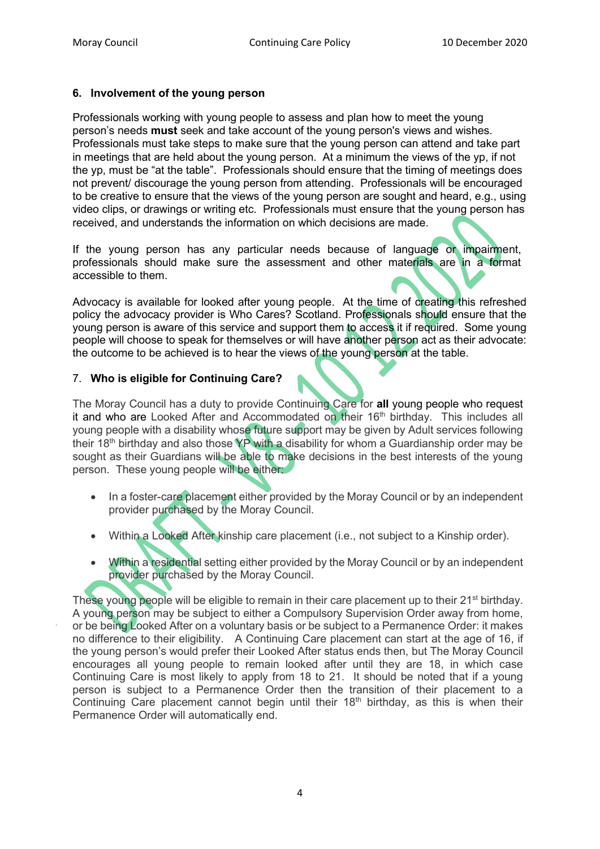#### **6. Involvement of the young person**

Professionals working with young people to assess and plan how to meet the young person's needs **must** seek and take account of the young person's views and wishes. Professionals must take steps to make sure that the young person can attend and take part in meetings that are held about the young person. At a minimum the views of the yp, if not the yp, must be "at the table". Professionals should ensure that the timing of meetings does not prevent/ discourage the young person from attending. Professionals will be encouraged to be creative to ensure that the views of the young person are sought and heard, e.g., using video clips, or drawings or writing etc. Professionals must ensure that the young person has received, and understands the information on which decisions are made.

If the young person has any particular needs because of language or impairment, professionals should make sure the assessment and other materials are in a format accessible to them.

Advocacy is available for looked after young people. At the time of creating this refreshed policy the advocacy provider is Who Cares? Scotland. Professionals should ensure that the young person is aware of this service and support them to access it if required. Some young people will choose to speak for themselves or will have another person act as their advocate: the outcome to be achieved is to hear the views of the young person at the table.

### 7. **Who is eligible for Continuing Care?**

The Moray Council has a duty to provide Continuing Care for **all** young people who request it and who are Looked After and Accommodated on their  $16<sup>th</sup>$  birthday. This includes all young people with a disability whose future support may be given by Adult services following their 18<sup>th</sup> birthday and also those YP with a disability for whom a Guardianship order may be sought as their Guardians will be able to make decisions in the best interests of the young person. These young people will be either:

- In a foster-care placement either provided by the Moray Council or by an independent provider purchased by the Moray Council.
- Within a Looked After kinship care placement (i.e., not subject to a Kinship order).
- Within a residential setting either provided by the Moray Council or by an independent provider purchased by the Moray Council.

These young people will be eligible to remain in their care placement up to their 21<sup>st</sup> birthday. A young person may be subject to either a Compulsory Supervision Order away from home, or be being Looked After on a voluntary basis or be subject to a Permanence Order: it makes no difference to their eligibility. A Continuing Care placement can start at the age of 16, if the young person's would prefer their Looked After status ends then, but The Moray Council encourages all young people to remain looked after until they are 18, in which case Continuing Care is most likely to apply from 18 to 21. It should be noted that if a young person is subject to a Permanence Order then the transition of their placement to a Continuing Care placement cannot begin until their  $18<sup>th</sup>$  birthday, as this is when their Permanence Order will automatically end.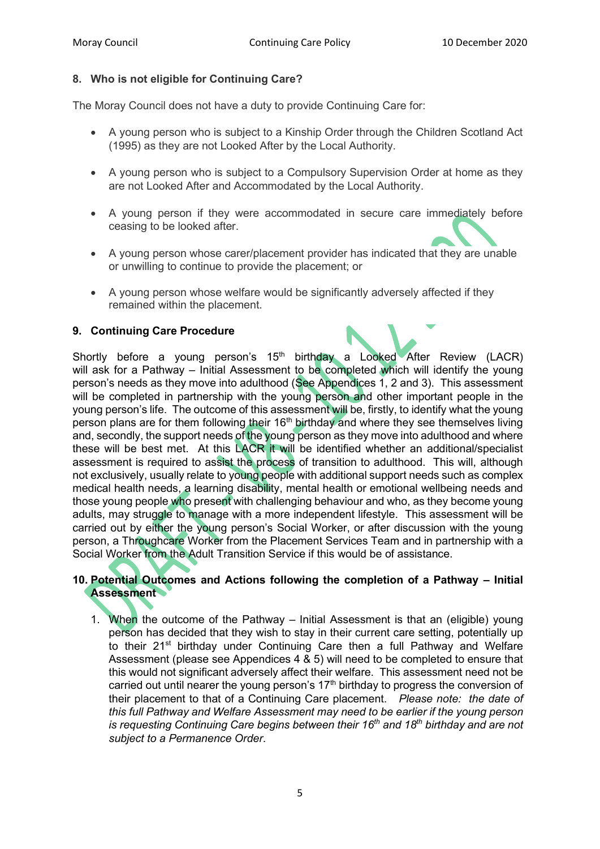#### **8. Who is not eligible for Continuing Care?**

The Moray Council does not have a duty to provide Continuing Care for:

- A young person who is subject to a Kinship Order through the Children Scotland Act (1995) as they are not Looked After by the Local Authority.
- A young person who is subject to a Compulsory Supervision Order at home as they are not Looked After and Accommodated by the Local Authority.
- A young person if they were accommodated in secure care immediately before ceasing to be looked after.
- A young person whose carer/placement provider has indicated that they are unable or unwilling to continue to provide the placement; or
- A young person whose welfare would be significantly adversely affected if they remained within the placement.

#### **9. Continuing Care Procedure**

Shortly before a young person's  $15<sup>th</sup>$  birthday a Looked After Review (LACR) will ask for a Pathway – Initial Assessment to be completed which will identify the young person's needs as they move into adulthood (See Appendices 1, 2 and 3). This assessment will be completed in partnership with the young person and other important people in the young person's life. The outcome of this assessment will be, firstly, to identify what the young person plans are for them following their  $16<sup>th</sup>$  birthday and where they see themselves living and, secondly, the support needs of the young person as they move into adulthood and where these will be best met. At this LACR it will be identified whether an additional/specialist assessment is required to assist the process of transition to adulthood. This will, although not exclusively, usually relate to young people with additional support needs such as complex medical health needs, a learning disability, mental health or emotional wellbeing needs and those young people who present with challenging behaviour and who, as they become young adults, may struggle to manage with a more independent lifestyle. This assessment will be carried out by either the young person's Social Worker, or after discussion with the young person, a Throughcare Worker from the Placement Services Team and in partnership with a Social Worker from the Adult Transition Service if this would be of assistance.

### **10. Potential Outcomes and Actions following the completion of a Pathway – Initial Assessment**

1. When the outcome of the Pathway – Initial Assessment is that an (eligible) young person has decided that they wish to stay in their current care setting, potentially up to their 21<sup>st</sup> birthday under Continuing Care then a full Pathway and Welfare Assessment (please see Appendices 4 & 5) will need to be completed to ensure that this would not significant adversely affect their welfare. This assessment need not be carried out until nearer the young person's  $17<sup>th</sup>$  birthday to progress the conversion of their placement to that of a Continuing Care placement. *Please note: the date of this full Pathway and Welfare Assessment may need to be earlier if the young person is requesting Continuing Care begins between their 16th and 18th birthday and are not subject to a Permanence Order*.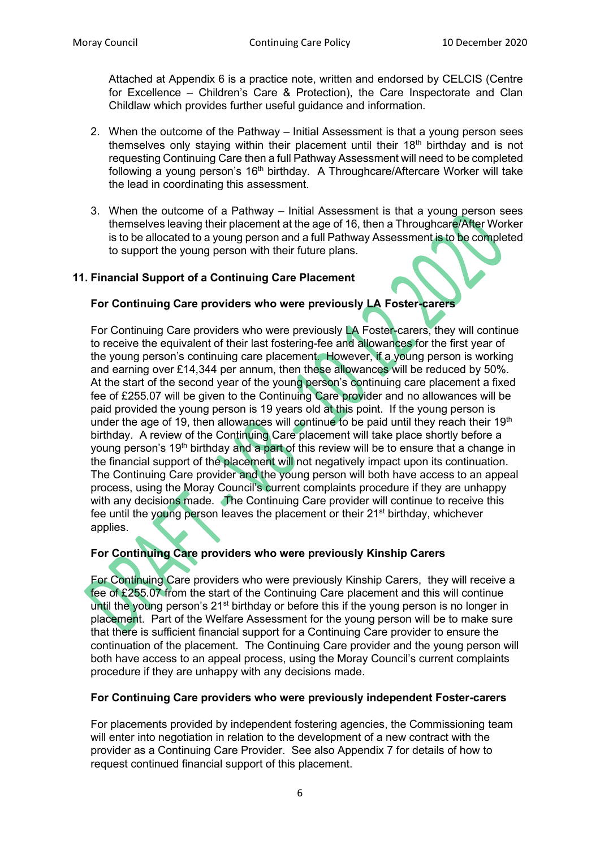Attached at Appendix 6 is a practice note, written and endorsed by CELCIS (Centre for Excellence – Children's Care & Protection), the Care Inspectorate and Clan Childlaw which provides further useful guidance and information.

- 2. When the outcome of the Pathway Initial Assessment is that a young person sees themselves only staying within their placement until their  $18<sup>th</sup>$  birthday and is not requesting Continuing Care then a full Pathway Assessment will need to be completed following a young person's  $16<sup>th</sup>$  birthday. A Throughcare/Aftercare Worker will take the lead in coordinating this assessment.
- 3. When the outcome of a Pathway Initial Assessment is that a young person sees themselves leaving their placement at the age of 16, then a Throughcare/After Worker is to be allocated to a young person and a full Pathway Assessment is to be completed to support the young person with their future plans.

### **11. Financial Support of a Continuing Care Placement**

#### **For Continuing Care providers who were previously LA Foster-carers**

For Continuing Care providers who were previously LA Foster-carers, they will continue to receive the equivalent of their last fostering-fee and allowances for the first year of the young person's continuing care placement. However, if a young person is working and earning over £14,344 per annum, then these allowances will be reduced by 50%. At the start of the second year of the young person's continuing care placement a fixed fee of £255.07 will be given to the Continuing Care provider and no allowances will be paid provided the young person is 19 years old at this point. If the young person is under the age of 19, then allowances will continue to be paid until they reach their 19<sup>th</sup> birthday. A review of the Continuing Care placement will take place shortly before a young person's 19<sup>th</sup> birthday and a part of this review will be to ensure that a change in the financial support of the placement will not negatively impact upon its continuation. The Continuing Care provider and the young person will both have access to an appeal process, using the Moray Council's current complaints procedure if they are unhappy with any decisions made. The Continuing Care provider will continue to receive this fee until the young person leaves the placement or their 21<sup>st</sup> birthday, whichever applies.

### **For Continuing Care providers who were previously Kinship Carers**

For Continuing Care providers who were previously Kinship Carers, they will receive a fee of £255.07 from the start of the Continuing Care placement and this will continue until the young person's 21<sup>st</sup> birthday or before this if the young person is no longer in placement. Part of the Welfare Assessment for the young person will be to make sure that there is sufficient financial support for a Continuing Care provider to ensure the continuation of the placement. The Continuing Care provider and the young person will both have access to an appeal process, using the Moray Council's current complaints procedure if they are unhappy with any decisions made.

#### **For Continuing Care providers who were previously independent Foster-carers**

For placements provided by independent fostering agencies, the Commissioning team will enter into negotiation in relation to the development of a new contract with the provider as a Continuing Care Provider. See also Appendix 7 for details of how to request continued financial support of this placement.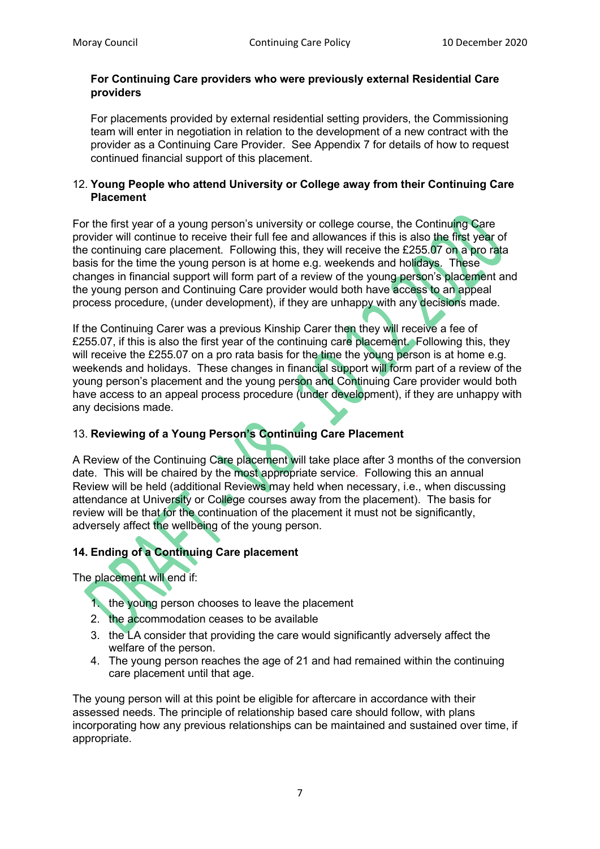#### **For Continuing Care providers who were previously external Residential Care providers**

For placements provided by external residential setting providers, the Commissioning team will enter in negotiation in relation to the development of a new contract with the provider as a Continuing Care Provider. See Appendix 7 for details of how to request continued financial support of this placement.

#### 12. **Young People who attend University or College away from their Continuing Care Placement**

For the first year of a young person's university or college course, the Continuing Care provider will continue to receive their full fee and allowances if this is also the first year of the continuing care placement. Following this, they will receive the £255.07 on a pro rata basis for the time the young person is at home e.g. weekends and holidays. These changes in financial support will form part of a review of the young person's placement and the young person and Continuing Care provider would both have access to an appeal process procedure, (under development), if they are unhappy with any decisions made.

If the Continuing Carer was a previous Kinship Carer then they will receive a fee of £255.07, if this is also the first year of the continuing care placement. Following this, they will receive the £255.07 on a pro rata basis for the time the young person is at home e.g. weekends and holidays. These changes in financial support will form part of a review of the young person's placement and the young person and Continuing Care provider would both have access to an appeal process procedure (under development), if they are unhappy with any decisions made.

# 13. **Reviewing of a Young Person's Continuing Care Placement**

A Review of the Continuing Care placement will take place after 3 months of the conversion date. This will be chaired by the most appropriate service. Following this an annual Review will be held (additional Reviews may held when necessary, i.e., when discussing attendance at University or College courses away from the placement). The basis for review will be that for the continuation of the placement it must not be significantly. adversely affect the wellbeing of the young person.

## **14. Ending of a Continuing Care placement**

The placement will end if:

- 1. the young person chooses to leave the placement
- 2. the accommodation ceases to be available
- 3. the LA consider that providing the care would significantly adversely affect the welfare of the person.
- 4. The young person reaches the age of 21 and had remained within the continuing care placement until that age.

The young person will at this point be eligible for aftercare in accordance with their assessed needs. The principle of relationship based care should follow, with plans incorporating how any previous relationships can be maintained and sustained over time, if appropriate.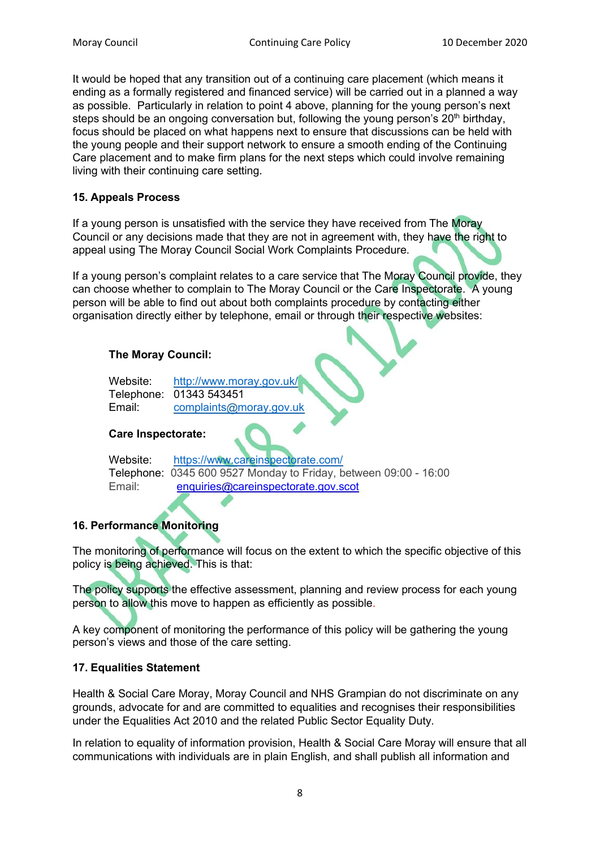It would be hoped that any transition out of a continuing care placement (which means it ending as a formally registered and financed service) will be carried out in a planned a way as possible. Particularly in relation to point 4 above, planning for the young person's next steps should be an ongoing conversation but, following the young person's  $20<sup>th</sup>$  birthday, focus should be placed on what happens next to ensure that discussions can be held with the young people and their support network to ensure a smooth ending of the Continuing Care placement and to make firm plans for the next steps which could involve remaining living with their continuing care setting.

#### **15. Appeals Process**

If a young person is unsatisfied with the service they have received from The Moray Council or any decisions made that they are not in agreement with, they have the right to appeal using The Moray Council Social Work Complaints Procedure.

If a young person's complaint relates to a care service that The Moray Council provide, they can choose whether to complain to The Moray Council or the Care Inspectorate. A young person will be able to find out about both complaints procedure by contacting either organisation directly either by telephone, email or through their respective websites:

#### **The Moray Council:**

| Website: | http://www.moray.gov.uk/ |
|----------|--------------------------|
|          | Telephone: 01343 543451  |
| Email:   | complaints@moray.gov.uk  |

#### **Care Inspectorate:**

| Website: | https://www.careinspectorate.com/                                |
|----------|------------------------------------------------------------------|
|          | Telephone: 0345 600 9527 Monday to Friday, between 09:00 - 16:00 |
| Email:   | enquiries@careinspectorate.gov.scot                              |

## **16. Performance Monitoring**

The monitoring of performance will focus on the extent to which the specific objective of this policy is being achieved. This is that:

The policy supports the effective assessment, planning and review process for each young person to allow this move to happen as efficiently as possible.

A key component of monitoring the performance of this policy will be gathering the young person's views and those of the care setting.

#### **17. Equalities Statement**

Health & Social Care Moray, Moray Council and NHS Grampian do not discriminate on any grounds, advocate for and are committed to equalities and recognises their responsibilities under the Equalities Act 2010 and the related Public Sector Equality Duty.

In relation to equality of information provision, Health & Social Care Moray will ensure that all communications with individuals are in plain English, and shall publish all information and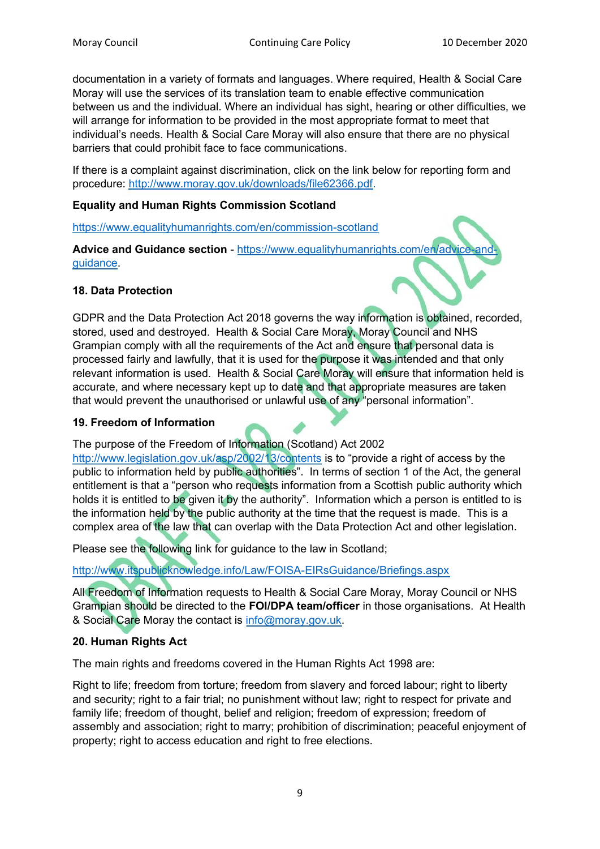documentation in a variety of formats and languages. Where required, Health & Social Care Moray will use the services of its translation team to enable effective communication between us and the individual. Where an individual has sight, hearing or other difficulties, we will arrange for information to be provided in the most appropriate format to meet that individual's needs. Health & Social Care Moray will also ensure that there are no physical barriers that could prohibit face to face communications.

If there is a complaint against discrimination, click on the link below for reporting form and procedure: [http://www.moray.gov.uk/downloads/file62366.pdf.](http://www.moray.gov.uk/downloads/file62366.pdf)

### **Equality and Human Rights Commission Scotland**

<https://www.equalityhumanrights.com/en/commission-scotland>

**Advice and Guidance section - https://www.equalityhumanrights.com/en/advice** [guidance.](https://www.equalityhumanrights.com/en/advice-and-guidance)

#### **18. Data Protection**

GDPR and the Data Protection Act 2018 governs the way information is obtained, recorded, stored, used and destroyed. Health & Social Care Moray, Moray Council and NHS Grampian comply with all the requirements of the Act and ensure that personal data is processed fairly and lawfully, that it is used for the purpose it was intended and that only relevant information is used. Health & Social Care Moray will ensure that information held is accurate, and where necessary kept up to date and that appropriate measures are taken that would prevent the unauthorised or unlawful use of any "personal information".

#### **19. Freedom of Information**

#### The purpose of the Freedom of Information (Scotland) Act 2002

<http://www.legislation.gov.uk/asp/2002/13/contents> is to "provide a right of access by the public to information held by public authorities". In terms of section 1 of the Act, the general entitlement is that a "person who requests information from a Scottish public authority which holds it is entitled to be given it by the authority". Information which a person is entitled to is the information held by the public authority at the time that the request is made. This is a complex area of the law that can overlap with the Data Protection Act and other legislation.

Please see the following link for guidance to the law in Scotland;

<http://www.itspublicknowledge.info/Law/FOISA-EIRsGuidance/Briefings.aspx>

All Freedom of Information requests to Health & Social Care Moray, Moray Council or NHS Grampian should be directed to the **FOI/DPA team/officer** in those organisations. At Health & Social Care Moray the contact is [info@moray.gov.uk.](mailto:info@moray.gov.uk)

#### **20. Human Rights Act**

The main rights and freedoms covered in the Human Rights Act 1998 are:

Right to life; freedom from torture; freedom from slavery and forced labour; right to liberty and security; right to a fair trial; no punishment without law; right to respect for private and family life; freedom of thought, belief and religion; freedom of expression; freedom of assembly and association; right to marry; prohibition of discrimination; peaceful enjoyment of property; right to access education and right to free elections.